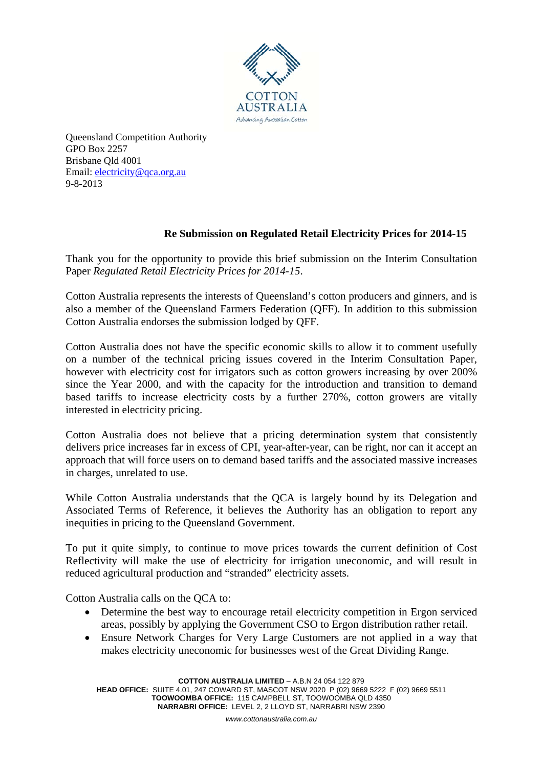

Queensland Competition Authority GPO Box 2257 Brisbane Qld 4001 Email: electricity@qca.org.au 9-8-2013

## **Re Submission on Regulated Retail Electricity Prices for 2014-15**

Thank you for the opportunity to provide this brief submission on the Interim Consultation Paper *Regulated Retail Electricity Prices for 2014-15*.

Cotton Australia represents the interests of Queensland's cotton producers and ginners, and is also a member of the Queensland Farmers Federation (QFF). In addition to this submission Cotton Australia endorses the submission lodged by QFF.

Cotton Australia does not have the specific economic skills to allow it to comment usefully on a number of the technical pricing issues covered in the Interim Consultation Paper, however with electricity cost for irrigators such as cotton growers increasing by over 200% since the Year 2000, and with the capacity for the introduction and transition to demand based tariffs to increase electricity costs by a further 270%, cotton growers are vitally interested in electricity pricing.

Cotton Australia does not believe that a pricing determination system that consistently delivers price increases far in excess of CPI, year-after-year, can be right, nor can it accept an approach that will force users on to demand based tariffs and the associated massive increases in charges, unrelated to use.

While Cotton Australia understands that the QCA is largely bound by its Delegation and Associated Terms of Reference, it believes the Authority has an obligation to report any inequities in pricing to the Queensland Government.

To put it quite simply, to continue to move prices towards the current definition of Cost Reflectivity will make the use of electricity for irrigation uneconomic, and will result in reduced agricultural production and "stranded" electricity assets.

Cotton Australia calls on the QCA to:

- Determine the best way to encourage retail electricity competition in Ergon serviced areas, possibly by applying the Government CSO to Ergon distribution rather retail.
- Ensure Network Charges for Very Large Customers are not applied in a way that makes electricity uneconomic for businesses west of the Great Dividing Range.

**COTTON AUSTRALIA LIMITED** – A.B.N 24 054 122 879

**HEAD OFFICE:** SUITE 4.01, 247 COWARD ST, MASCOT NSW 2020 P (02) 9669 5222 F (02) 9669 5511 **TOOWOOMBA OFFICE:** 115 CAMPBELL ST, TOOWOOMBA QLD 4350 **NARRABRI OFFICE:** LEVEL 2, 2 LLOYD ST, NARRABRI NSW 2390